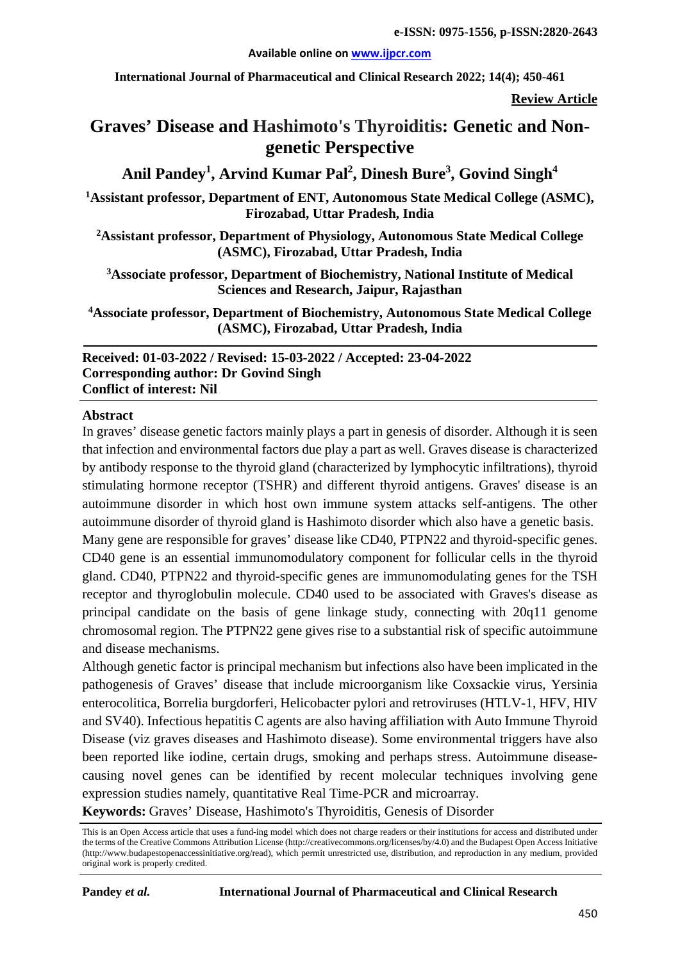#### **Available online on [www.ijpcr.com](http://www.ijpcr.com/)**

**International Journal of Pharmaceutical and Clinical Research 2022; 14(4); 450-461**

**Review Article**

# **Graves' Disease and Hashimoto's Thyroiditis: Genetic and Nongenetic Perspective**

**Anil Pandey<sup>1</sup> , Arvind Kumar Pal<sup>2</sup> , Dinesh Bure3 , Govind Singh4**

**1 Assistant professor, Department of ENT, Autonomous State Medical College (ASMC), Firozabad, Uttar Pradesh, India**

**2 Assistant professor, Department of Physiology, Autonomous State Medical College (ASMC), Firozabad, Uttar Pradesh, India**

**3 Associate professor, Department of Biochemistry, National Institute of Medical Sciences and Research, Jaipur, Rajasthan**

**4Associate professor, Department of Biochemistry, Autonomous State Medical College (ASMC), Firozabad, Uttar Pradesh, India**

**Received: 01-03-2022 / Revised: 15-03-2022 / Accepted: 23-04-2022 Corresponding author: Dr Govind Singh Conflict of interest: Nil**

#### **Abstract**

In graves' disease genetic factors mainly plays a part in genesis of disorder. Although it is seen that infection and environmental factors due play a part as well. Graves disease is characterized by antibody response to the thyroid gland (characterized by lymphocytic infiltrations), thyroid stimulating hormone receptor (TSHR) and different thyroid antigens. Graves' disease is an autoimmune disorder in which host own immune system attacks self-antigens. The other autoimmune disorder of thyroid gland is Hashimoto disorder which also have a genetic basis. Many gene are responsible for graves' disease like CD40, PTPN22 and thyroid-specific genes.

CD40 gene is an essential immunomodulatory component for follicular cells in the thyroid gland. CD40, PTPN22 and thyroid-specific genes are immunomodulating genes for the TSH receptor and thyroglobulin molecule. CD40 used to be associated with Graves's disease as principal candidate on the basis of gene linkage study, connecting with 20q11 genome chromosomal region. The PTPN22 gene gives rise to a substantial risk of specific autoimmune and disease mechanisms.

Although genetic factor is principal mechanism but infections also have been implicated in the pathogenesis of Graves' disease that include microorganism like Coxsackie virus, Yersinia enterocolitica, Borrelia burgdorferi, Helicobacter pylori and retroviruses (HTLV-1, HFV, HIV and SV40). Infectious hepatitis C agents are also having affiliation with Auto Immune Thyroid Disease (viz graves diseases and Hashimoto disease). Some environmental triggers have also been reported like iodine, certain drugs, smoking and perhaps stress. Autoimmune diseasecausing novel genes can be identified by recent molecular techniques involving gene expression studies namely, quantitative Real Time-PCR and microarray.

**Keywords:** Graves' Disease, Hashimoto's Thyroiditis, Genesis of Disorder

This is an Open Access article that uses a fund-ing model which does not charge readers or their institutions for access and distributed under the terms of the Creative Commons Attribution License (http://creativecommons.org/licenses/by/4.0) and the Budapest Open Access Initiative (http://www.budapestopenaccessinitiative.org/read), which permit unrestricted use, distribution, and reproduction in any medium, provided original work is properly credited.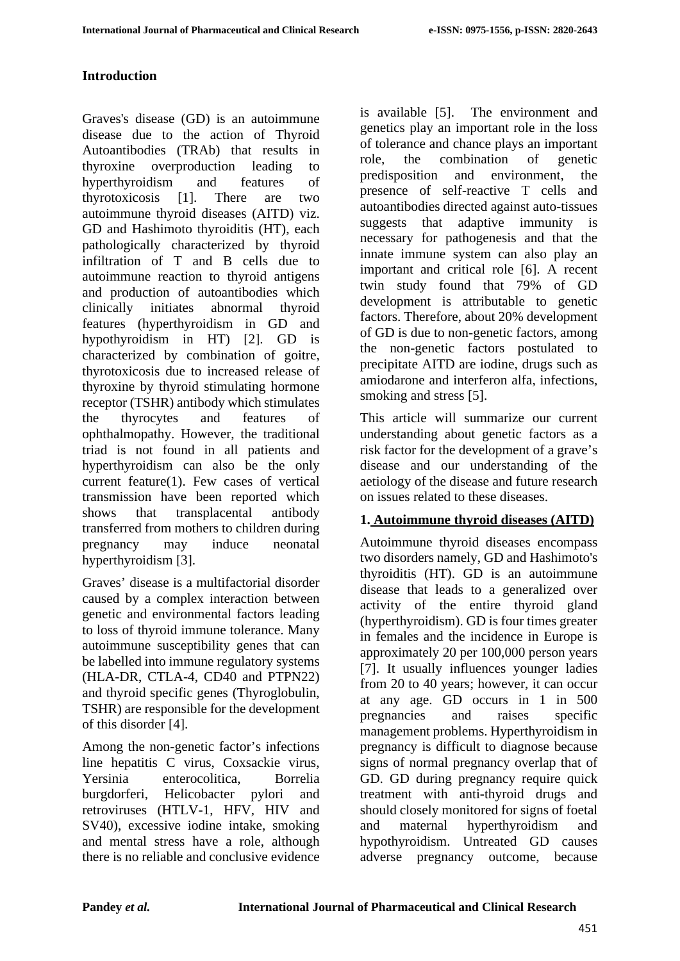### **Introduction**

Graves's disease (GD) is an autoimmune disease due to the action of Thyroid Autoantibodies (TRAb) that results in thyroxine overproduction leading to hyperthyroidism and features of thyrotoxicosis [1]. There are two autoimmune thyroid diseases (AITD) viz. GD and Hashimoto thyroiditis (HT), each pathologically characterized by thyroid infiltration of T and B cells due to autoimmune reaction to thyroid antigens and production of autoantibodies which clinically initiates abnormal thyroid features (hyperthyroidism in GD and hypothyroidism in HT) [2]. GD is characterized by combination of goitre, thyrotoxicosis due to increased release of thyroxine by thyroid stimulating hormone receptor (TSHR) antibody which stimulates the thyrocytes and features of ophthalmopathy. However, the traditional triad is not found in all patients and hyperthyroidism can also be the only current feature(1). Few cases of vertical transmission have been reported which shows that transplacental antibody transferred from mothers to children during pregnancy may induce neonatal hyperthyroidism [3].

Graves' disease is a multifactorial disorder caused by a complex interaction between genetic and environmental factors leading to loss of thyroid immune tolerance. Many autoimmune susceptibility genes that can be labelled into immune regulatory systems (HLA-DR, CTLA-4, CD40 and PTPN22) and thyroid specific genes (Thyroglobulin, TSHR) are responsible for the development of this disorder [4].

Among the non-genetic factor's infections line hepatitis C virus, Coxsackie virus, Yersinia enterocolitica, Borrelia burgdorferi, Helicobacter pylori and retroviruses (HTLV-1, HFV, HIV and SV40), excessive iodine intake, smoking and mental stress have a role, although there is no reliable and conclusive evidence

is available [5]. The environment and genetics play an important role in the loss of tolerance and chance plays an important role, the combination of genetic predisposition and environment, the presence of self-reactive T cells and autoantibodies directed against auto-tissues suggests that adaptive immunity is necessary for pathogenesis and that the innate immune system can also play an important and critical role [6]. A recent twin study found that 79% of GD development is attributable to genetic factors. Therefore, about 20% development of GD is due to non-genetic factors, among the non-genetic factors postulated to precipitate AITD are iodine, drugs such as amiodarone and interferon alfa, infections, smoking and stress [5].

This article will summarize our current understanding about genetic factors as a risk factor for the development of a grave's disease and our understanding of the aetiology of the disease and future research on issues related to these diseases.

### **1. Autoimmune thyroid diseases (AITD)**

Autoimmune thyroid diseases encompass two disorders namely, GD and Hashimoto's thyroiditis (HT). GD is an autoimmune disease that leads to a generalized over activity of the entire thyroid gland (hyperthyroidism). GD is four times greater in females and the incidence in Europe is approximately 20 per 100,000 person years [7]. It usually influences younger ladies from 20 to 40 years; however, it can occur at any age. GD occurs in 1 in 500 pregnancies and raises specific management problems. Hyperthyroidism in pregnancy is difficult to diagnose because signs of normal pregnancy overlap that of GD. GD during pregnancy require quick treatment with anti-thyroid drugs and should closely monitored for signs of foetal and maternal hyperthyroidism and hypothyroidism. Untreated GD causes adverse pregnancy outcome, because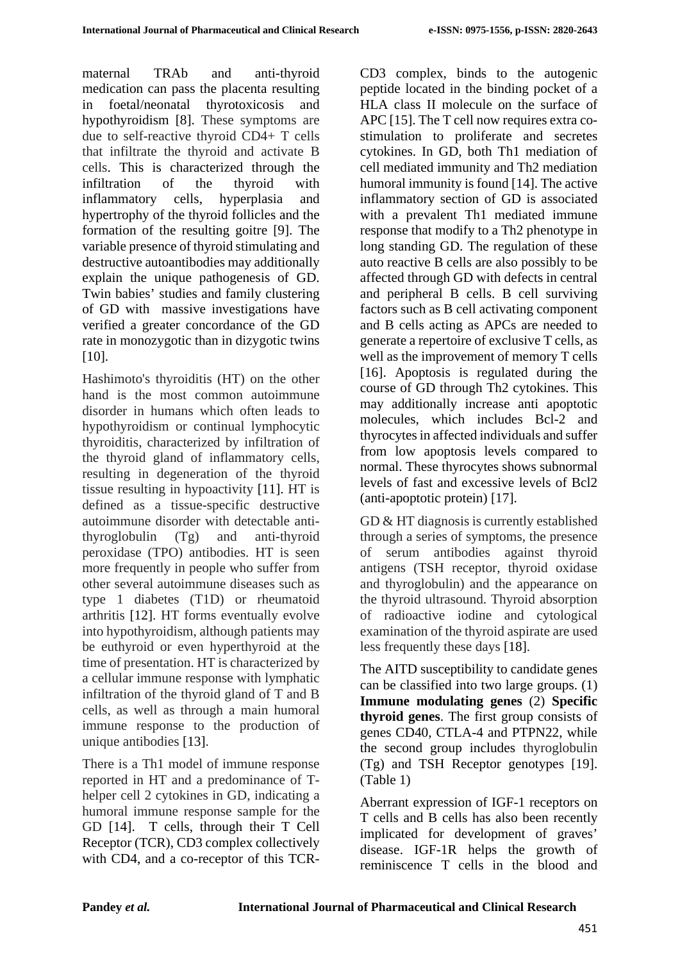maternal TRAb and anti-thyroid medication can pass the placenta resulting in foetal/neonatal thyrotoxicosis and hypothyroidism [8]. These symptoms are due to self-reactive thyroid CD4+ T cells that infiltrate the thyroid and activate B cells. This is characterized through the infiltration of the thyroid with inflammatory cells, hyperplasia and hypertrophy of the thyroid follicles and the formation of the resulting goitre [9]. The variable presence of thyroid stimulating and destructive autoantibodies may additionally explain the unique pathogenesis of GD. Twin babies' studies and family clustering of GD with massive investigations have verified a greater concordance of the GD rate in monozygotic than in dizygotic twins [10].

Hashimoto's thyroiditis (HT) on the other hand is the most common autoimmune disorder in humans which often leads to hypothyroidism or continual lymphocytic thyroiditis, characterized by infiltration of the thyroid gland of inflammatory cells, resulting in degeneration of the thyroid tissue resulting in hypoactivity [11]. HT is defined as a tissue-specific destructive autoimmune disorder with detectable antithyroglobulin (Tg) and anti-thyroid peroxidase (TPO) antibodies. HT is seen more frequently in people who suffer from other several autoimmune diseases such as type 1 diabetes (T1D) or rheumatoid arthritis [12]. HT forms eventually evolve into hypothyroidism, although patients may be euthyroid or even hyperthyroid at the time of presentation. HT is characterized by a cellular immune response with lymphatic infiltration of the thyroid gland of T and B cells, as well as through a main humoral immune response to the production of unique antibodies [13].

There is a Th1 model of immune response reported in HT and a predominance of Thelper cell 2 cytokines in GD, indicating a humoral immune response sample for the GD [14]. T cells, through their T Cell Receptor (TCR), CD3 complex collectively with CD4, and a co-receptor of this TCR- CD3 complex, binds to the autogenic peptide located in the binding pocket of a HLA class II molecule on the surface of APC [15]. The T cell now requires extra costimulation to proliferate and secretes cytokines. In GD, both Th1 mediation of cell mediated immunity and Th2 mediation humoral immunity is found [14]. The active inflammatory section of GD is associated with a prevalent Th1 mediated immune response that modify to a Th2 phenotype in long standing GD. The regulation of these auto reactive B cells are also possibly to be affected through GD with defects in central and peripheral B cells. B cell surviving factors such as B cell activating component and B cells acting as APCs are needed to generate a repertoire of exclusive T cells, as well as the improvement of memory T cells [16]. Apoptosis is regulated during the course of GD through Th2 cytokines. This may additionally increase anti apoptotic molecules, which includes Bcl-2 and thyrocytes in affected individuals and suffer from low apoptosis levels compared to normal. These thyrocytes shows subnormal levels of fast and excessive levels of Bcl2 (anti-apoptotic protein) [17].

GD & HT diagnosis is currently established through a series of symptoms, the presence of serum antibodies against thyroid antigens (TSH receptor, thyroid oxidase and thyroglobulin) and the appearance on the thyroid ultrasound. Thyroid absorption of radioactive iodine and cytological examination of the thyroid aspirate are used less frequently these days [18].

The AITD susceptibility to candidate genes can be classified into two large groups. (1) **Immune modulating genes** (2) **Specific thyroid genes**. The first group consists of genes CD40, CTLA-4 and PTPN22, while the second group includes thyroglobulin (Tg) and TSH Receptor genotypes [19]. (Table 1)

Aberrant expression of IGF-1 receptors on T cells and B cells has also been recently implicated for development of graves' disease. IGF-1R helps the growth of reminiscence T cells in the blood and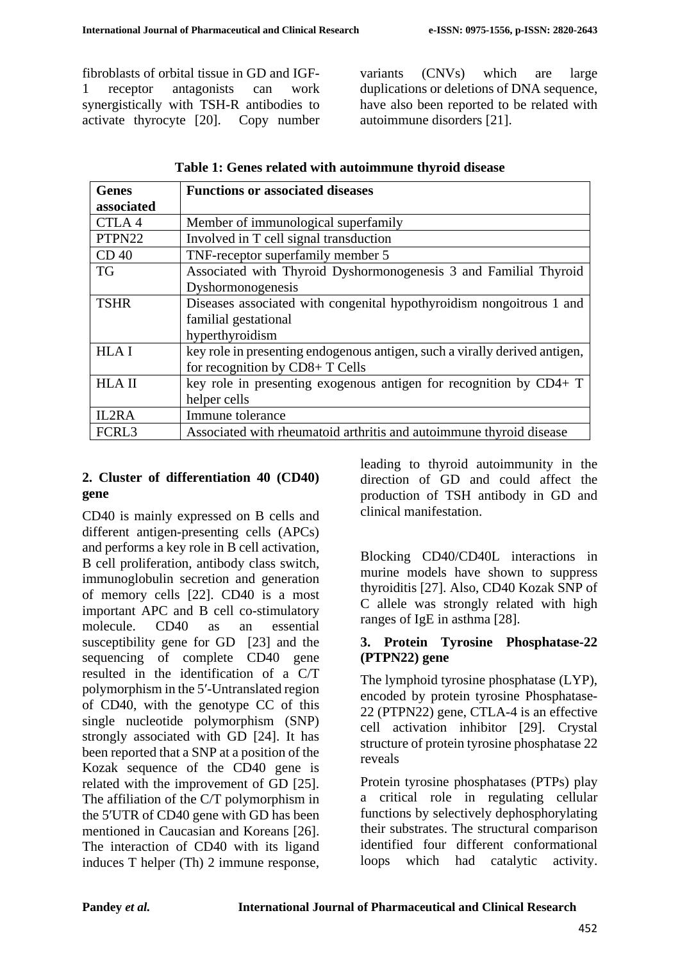fibroblasts of orbital tissue in GD and IGF-1 receptor antagonists can work synergistically with TSH-R antibodies to activate thyrocyte [20]. Copy number variants (CNVs) which are large duplications or deletions of DNA sequence, have also been reported to be related with autoimmune disorders [21].

| <b>Genes</b>      | <b>Functions or associated diseases</b>                                    |
|-------------------|----------------------------------------------------------------------------|
| associated        |                                                                            |
| CTLA4             | Member of immunological superfamily                                        |
| PTPN22            | Involved in T cell signal transduction                                     |
| CD <sub>40</sub>  | TNF-receptor superfamily member 5                                          |
| <b>TG</b>         | Associated with Thyroid Dyshormonogenesis 3 and Familial Thyroid           |
|                   | Dyshormonogenesis                                                          |
| <b>TSHR</b>       | Diseases associated with congenital hypothyroidism nongoitrous 1 and       |
|                   | familial gestational                                                       |
|                   | hyperthyroidism                                                            |
| <b>HLAI</b>       | key role in presenting endogenous antigen, such a virally derived antigen, |
|                   | for recognition by CD8+ T Cells                                            |
| <b>HLA II</b>     | key role in presenting exogenous antigen for recognition by $CD4+T$        |
|                   | helper cells                                                               |
| IL2RA             | Immune tolerance                                                           |
| FCRL <sub>3</sub> | Associated with rheumatoid arthritis and autoimmune thyroid disease        |

|  |  |  |  | Table 1: Genes related with autoimmune thyroid disease |  |  |
|--|--|--|--|--------------------------------------------------------|--|--|
|--|--|--|--|--------------------------------------------------------|--|--|

# **2. Cluster of differentiation 40 (CD40) gene**

CD40 is mainly expressed on B cells and different antigen-presenting cells (APCs) and performs a key role in B cell activation, B cell proliferation, antibody class switch, immunoglobulin secretion and generation of memory cells [22]. CD40 is a most important APC and B cell co-stimulatory molecule. CD40 as an essential susceptibility gene for GD [23] and the sequencing of complete CD40 gene resulted in the identification of a C/T polymorphism in the 5′-Untranslated region of CD40, with the genotype CC of this single nucleotide polymorphism (SNP) strongly associated with GD [24]. It has been reported that a SNP at a position of the Kozak sequence of the CD40 gene is related with the improvement of GD [25]. The affiliation of the C/T polymorphism in the 5′UTR of CD40 gene with GD has been mentioned in Caucasian and Koreans [26]. The interaction of CD40 with its ligand induces T helper (Th) 2 immune response,

leading to thyroid autoimmunity in the direction of GD and could affect the production of TSH antibody in GD and clinical manifestation.

Blocking CD40/CD40L interactions in murine models have shown to suppress thyroiditis [27]. Also, CD40 Kozak SNP of C allele was strongly related with high ranges of IgE in asthma [28].

### **3. Protein Tyrosine Phosphatase-22 (PTPN22) gene**

The lymphoid tyrosine phosphatase (LYP), encoded by protein tyrosine Phosphatase-22 (PTPN22) gene, CTLA-4 is an effective cell activation inhibitor [29]. Crystal structure of protein tyrosine phosphatase 22 reveals

Protein tyrosine phosphatases (PTPs) play a critical role in regulating cellular functions by selectively dephosphorylating their substrates. The structural comparison identified four different conformational loops which had catalytic activity.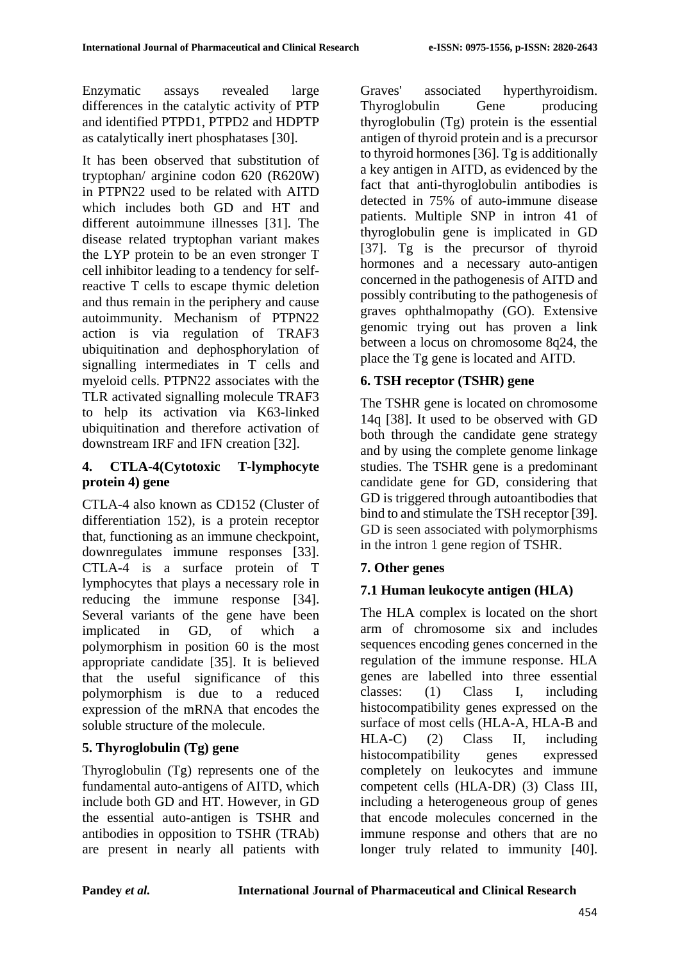Enzymatic assays revealed large differences in the catalytic activity of PTP and identified PTPD1, PTPD2 and HDPTP as catalytically inert phosphatases [30].

It has been observed that substitution of tryptophan/ arginine codon 620 (R620W) in PTPN22 used to be related with AITD which includes both GD and HT and different autoimmune illnesses [31]. The disease related tryptophan variant makes the LYP protein to be an even stronger T cell inhibitor leading to a tendency for selfreactive T cells to escape thymic deletion and thus remain in the periphery and cause autoimmunity. Mechanism of PTPN22 action is via regulation of TRAF3 ubiquitination and dephosphorylation of signalling intermediates in T cells and myeloid cells. PTPN22 associates with the TLR activated signalling molecule TRAF3 to help its activation via K63-linked ubiquitination and therefore activation of downstream IRF and IFN creation [32].

# **4. CTLA-4(Cytotoxic T-lymphocyte protein 4) gene**

CTLA-4 also known as CD152 (Cluster of differentiation 152), is a protein receptor that, functioning as an immune checkpoint, downregulates immune responses [33]. CTLA-4 is a surface protein of T lymphocytes that plays a necessary role in reducing the immune response [34]. Several variants of the gene have been implicated in GD, of which a polymorphism in position 60 is the most appropriate candidate [35]. It is believed that the useful significance of this polymorphism is due to a reduced expression of the mRNA that encodes the soluble structure of the molecule.

# **5. Thyroglobulin (Tg) gene**

Thyroglobulin (Tg) represents one of the fundamental auto-antigens of AITD, which include both GD and HT. However, in GD the essential auto-antigen is TSHR and antibodies in opposition to TSHR (TRAb) are present in nearly all patients with

Graves' associated hyperthyroidism. Thyroglobulin Gene producing thyroglobulin (Tg) protein is the essential antigen of thyroid protein and is a precursor to thyroid hormones [36]. Tg is additionally a key antigen in AITD, as evidenced by the fact that anti-thyroglobulin antibodies is detected in 75% of auto-immune disease patients. Multiple SNP in intron 41 of thyroglobulin gene is implicated in GD [37]. Tg is the precursor of thyroid hormones and a necessary auto-antigen concerned in the pathogenesis of AITD and possibly contributing to the pathogenesis of graves ophthalmopathy (GO). Extensive genomic trying out has proven a link between a locus on chromosome 8q24, the place the Tg gene is located and AITD.

# **6. TSH receptor (TSHR) gene**

The TSHR gene is located on chromosome 14q [38]. It used to be observed with GD both through the candidate gene strategy and by using the complete genome linkage studies. The TSHR gene is a predominant candidate gene for GD, considering that GD is triggered through autoantibodies that bind to and stimulate the TSH receptor [39]. GD is seen associated with polymorphisms in the intron 1 gene region of TSHR.

# **7. Other genes**

# **7.1 Human leukocyte antigen (HLA)**

The HLA complex is located on the short arm of chromosome six and includes sequences encoding genes concerned in the regulation of the immune response. HLA genes are labelled into three essential classes: (1) Class I, including histocompatibility genes expressed on the surface of most cells (HLA-A, HLA-B and HLA-C) (2) Class II, including histocompatibility genes expressed completely on leukocytes and immune competent cells (HLA-DR) (3) Class III, including a heterogeneous group of genes that encode molecules concerned in the immune response and others that are no longer truly related to immunity [40].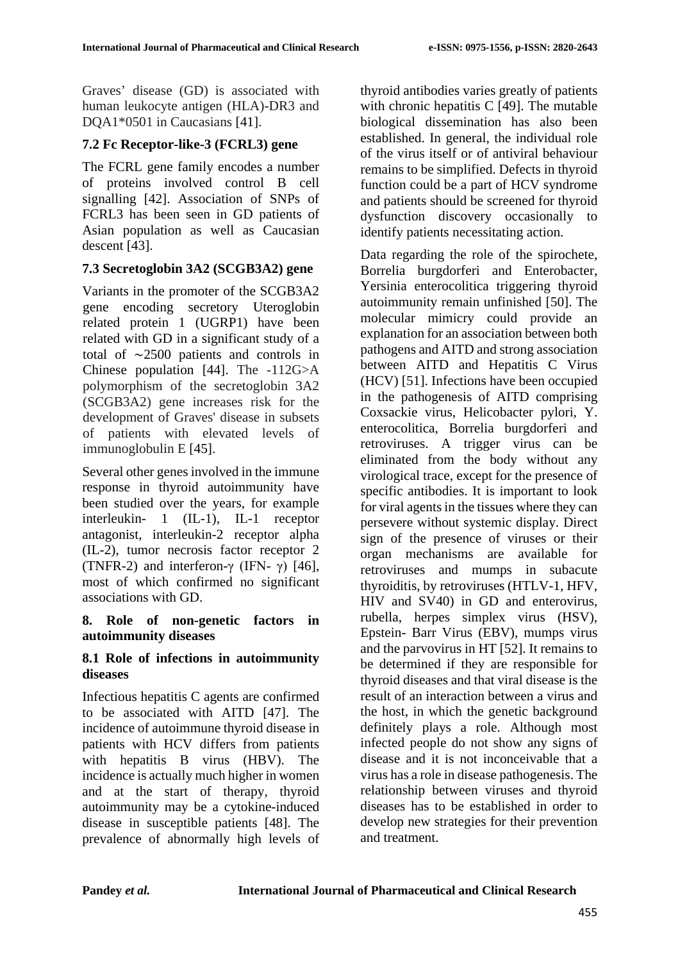Graves' disease (GD) is associated with human leukocyte antigen (HLA)-DR3 and DQA1\*0501 in Caucasians [41].

# **7.2 Fc Receptor-like-3 (FCRL3) gene**

The FCRL gene family encodes a number of proteins involved control B cell signalling [42]. Association of SNPs of FCRL3 has been seen in GD patients of Asian population as well as Caucasian descent [43].

# **7.3 Secretoglobin 3A2 (SCGB3A2) gene**

Variants in the promoter of the SCGB3A2 gene encoding secretory Uteroglobin related protein 1 (UGRP1) have been related with GD in a significant study of a total of ∼2500 patients and controls in Chinese population [44]. The -112G>A polymorphism of the secretoglobin 3A2 (SCGB3A2) gene increases risk for the development of Graves' disease in subsets of patients with elevated levels of immunoglobulin E [45].

Several other genes involved in the immune response in thyroid autoimmunity have been studied over the years, for example interleukin- 1 (IL-1), IL-1 receptor antagonist, interleukin-2 receptor alpha (IL-2), tumor necrosis factor receptor 2 (TNFR-2) and interferon-γ (IFN- γ) [46], most of which confirmed no significant associations with GD.

#### **8. Role of non-genetic factors in autoimmunity diseases**

#### **8.1 Role of infections in autoimmunity diseases**

Infectious hepatitis C agents are confirmed to be associated with AITD [47]. The incidence of autoimmune thyroid disease in patients with HCV differs from patients with hepatitis B virus (HBV). The incidence is actually much higher in women and at the start of therapy, thyroid autoimmunity may be a cytokine-induced disease in susceptible patients [48]. The prevalence of abnormally high levels of thyroid antibodies varies greatly of patients with chronic hepatitis C [49]. The mutable biological dissemination has also been established. In general, the individual role of the virus itself or of antiviral behaviour remains to be simplified. Defects in thyroid function could be a part of HCV syndrome and patients should be screened for thyroid dysfunction discovery occasionally to identify patients necessitating action.

Data regarding the role of the spirochete, Borrelia burgdorferi and Enterobacter, Yersinia enterocolitica triggering thyroid autoimmunity remain unfinished [50]. The molecular mimicry could provide an explanation for an association between both pathogens and AITD and strong association between AITD and Hepatitis C Virus (HCV) [51]. Infections have been occupied in the pathogenesis of AITD comprising Coxsackie virus, Helicobacter pylori, Y. enterocolitica, Borrelia burgdorferi and retroviruses. A trigger virus can be eliminated from the body without any virological trace, except for the presence of specific antibodies. It is important to look for viral agents in the tissues where they can persevere without systemic display. Direct sign of the presence of viruses or their organ mechanisms are available for retroviruses and mumps in subacute thyroiditis, by retroviruses (HTLV-1, HFV, HIV and SV40) in GD and enterovirus, rubella, herpes simplex virus (HSV), Epstein- Barr Virus (EBV), mumps virus and the parvovirus in HT [52]. It remains to be determined if they are responsible for thyroid diseases and that viral disease is the result of an interaction between a virus and the host, in which the genetic background definitely plays a role. Although most infected people do not show any signs of disease and it is not inconceivable that a virus has a role in disease pathogenesis. The relationship between viruses and thyroid diseases has to be established in order to develop new strategies for their prevention and treatment.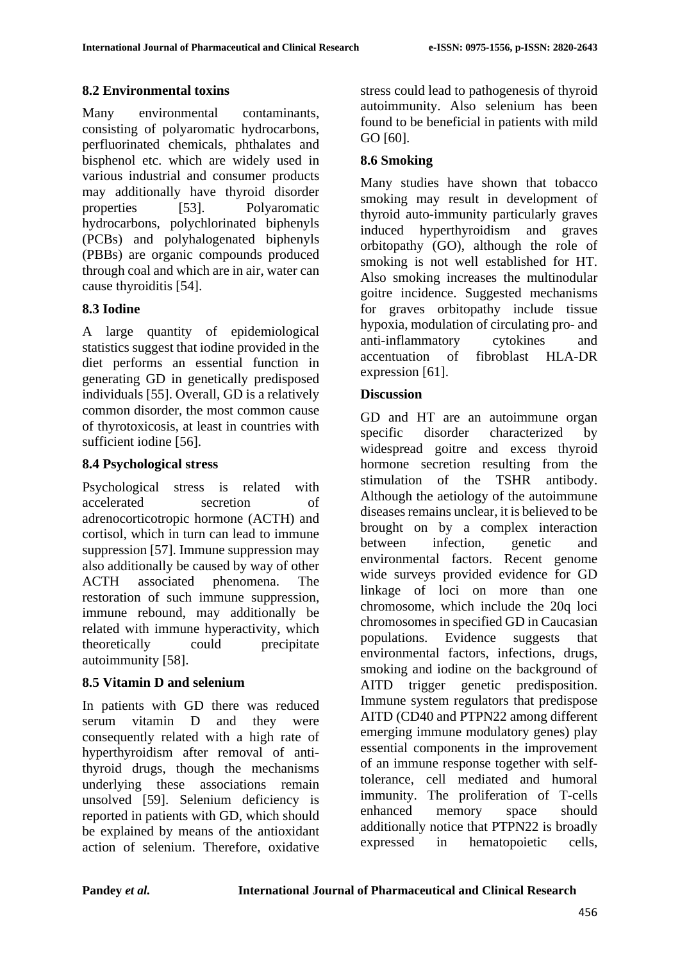# **8.2 Environmental toxins**

Many environmental contaminants, consisting of polyaromatic hydrocarbons, perfluorinated chemicals, phthalates and bisphenol etc. which are widely used in various industrial and consumer products may additionally have thyroid disorder properties [53]. Polyaromatic hydrocarbons, polychlorinated biphenyls (PCBs) and polyhalogenated biphenyls (PBBs) are organic compounds produced through coal and which are in air, water can cause thyroiditis [54].

# **8.3 Iodine**

A large quantity of epidemiological statistics suggest that iodine provided in the diet performs an essential function in generating GD in genetically predisposed individuals [55]. Overall, GD is a relatively common disorder, the most common cause of thyrotoxicosis, at least in countries with sufficient iodine [56].

# **8.4 Psychological stress**

Psychological stress is related with accelerated secretion of adrenocorticotropic hormone (ACTH) and cortisol, which in turn can lead to immune suppression [57]. Immune suppression may also additionally be caused by way of other ACTH associated phenomena. The restoration of such immune suppression, immune rebound, may additionally be related with immune hyperactivity, which theoretically could precipitate autoimmunity [58].

### **8.5 Vitamin D and selenium**

In patients with GD there was reduced serum vitamin D and they were consequently related with a high rate of hyperthyroidism after removal of antithyroid drugs, though the mechanisms underlying these associations remain unsolved [59]. Selenium deficiency is reported in patients with GD, which should be explained by means of the antioxidant action of selenium. Therefore, oxidative

stress could lead to pathogenesis of thyroid autoimmunity. Also selenium has been found to be beneficial in patients with mild GO [60].

# **8.6 Smoking**

Many studies have shown that tobacco smoking may result in development of thyroid auto-immunity particularly graves induced hyperthyroidism and graves orbitopathy (GO), although the role of smoking is not well established for HT. Also smoking increases the multinodular goitre incidence. Suggested mechanisms for graves orbitopathy include tissue hypoxia, modulation of circulating pro- and anti-inflammatory cytokines and accentuation of fibroblast HLA-DR expression [61].

# **Discussion**

GD and HT are an autoimmune organ specific disorder characterized by widespread goitre and excess thyroid hormone secretion resulting from the stimulation of the TSHR antibody. Although the aetiology of the autoimmune diseases remains unclear, it is believed to be brought on by a complex interaction between infection, genetic and environmental factors. Recent genome wide surveys provided evidence for GD linkage of loci on more than one chromosome, which include the 20q loci chromosomes in specified GD in Caucasian populations. Evidence suggests that environmental factors, infections, drugs, smoking and iodine on the background of AITD trigger genetic predisposition. Immune system regulators that predispose AITD (CD40 and PTPN22 among different emerging immune modulatory genes) play essential components in the improvement of an immune response together with selftolerance, cell mediated and humoral immunity. The proliferation of T-cells enhanced memory space should additionally notice that PTPN22 is broadly expressed in hematopoietic cells,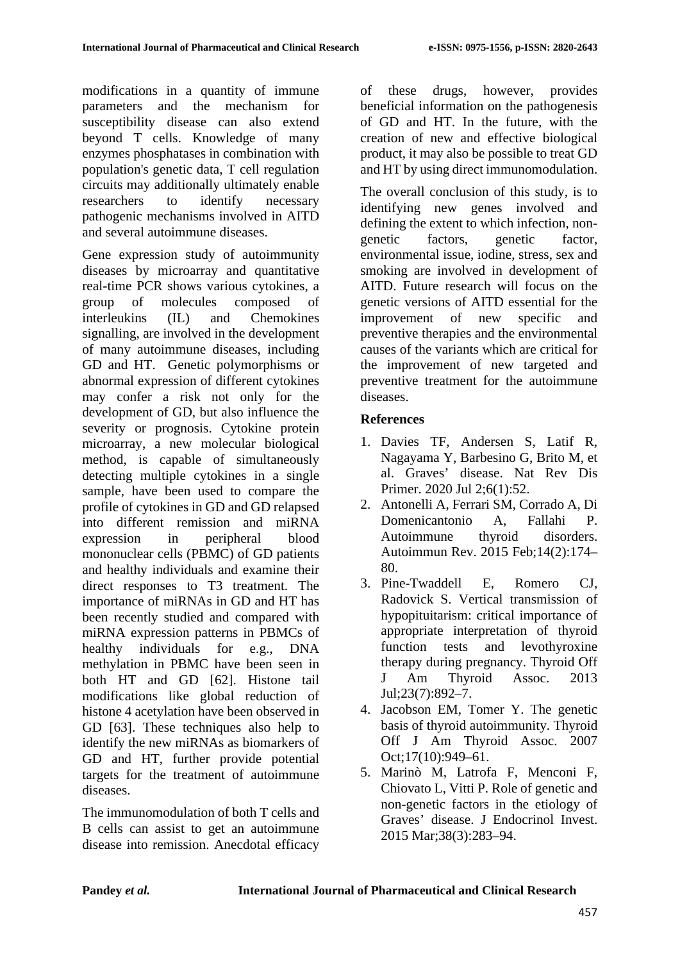modifications in a quantity of immune parameters and the mechanism for susceptibility disease can also extend beyond T cells. Knowledge of many enzymes phosphatases in combination with population's genetic data, T cell regulation circuits may additionally ultimately enable researchers to identify necessary pathogenic mechanisms involved in AITD and several autoimmune diseases.

Gene expression study of autoimmunity diseases by microarray and quantitative real-time PCR shows various cytokines, a group of molecules composed of interleukins (IL) and Chemokines signalling, are involved in the development of many autoimmune diseases, including GD and HT. Genetic polymorphisms or abnormal expression of different cytokines may confer a risk not only for the development of GD, but also influence the severity or prognosis. Cytokine protein microarray, a new molecular biological method, is capable of simultaneously detecting multiple cytokines in a single sample, have been used to compare the profile of cytokines in GD and GD relapsed into different remission and miRNA expression in peripheral blood mononuclear cells (PBMC) of GD patients and healthy individuals and examine their direct responses to T3 treatment. The importance of miRNAs in GD and HT has been recently studied and compared with miRNA expression patterns in PBMCs of healthy individuals for e.g., DNA methylation in PBMC have been seen in both HT and GD [62]. Histone tail modifications like global reduction of histone 4 acetylation have been observed in GD [63]. These techniques also help to identify the new miRNAs as biomarkers of GD and HT, further provide potential targets for the treatment of autoimmune diseases.

The immunomodulation of both T cells and B cells can assist to get an autoimmune disease into remission. Anecdotal efficacy

of these drugs, however, provides beneficial information on the pathogenesis of GD and HT. In the future, with the creation of new and effective biological product, it may also be possible to treat GD and HT by using direct immunomodulation.

The overall conclusion of this study, is to identifying new genes involved and defining the extent to which infection, nongenetic factors, genetic factor, environmental issue, iodine, stress, sex and smoking are involved in development of AITD. Future research will focus on the genetic versions of AITD essential for the improvement of new specific and preventive therapies and the environmental causes of the variants which are critical for the improvement of new targeted and preventive treatment for the autoimmune diseases.

# **References**

- 1. Davies TF, Andersen S, Latif R, Nagayama Y, Barbesino G, Brito M, et al. Graves' disease. Nat Rev Dis Primer. 2020 Jul 2;6(1):52.
- 2. Antonelli A, Ferrari SM, Corrado A, Di Domenicantonio A, Fallahi P. Autoimmune thyroid disorders. Autoimmun Rev. 2015 Feb;14(2):174– 80.
- 3. Pine-Twaddell E, Romero CJ, Radovick S. Vertical transmission of hypopituitarism: critical importance of appropriate interpretation of thyroid function tests and levothyroxine therapy during pregnancy. Thyroid Off J Am Thyroid Assoc. 2013 Jul;23(7):892–7.
- 4. Jacobson EM, Tomer Y. The genetic basis of thyroid autoimmunity. Thyroid Off J Am Thyroid Assoc. 2007 Oct;17(10):949–61.
- 5. Marinò M, Latrofa F, Menconi F, Chiovato L, Vitti P. Role of genetic and non-genetic factors in the etiology of Graves' disease. J Endocrinol Invest. 2015 Mar;38(3):283–94.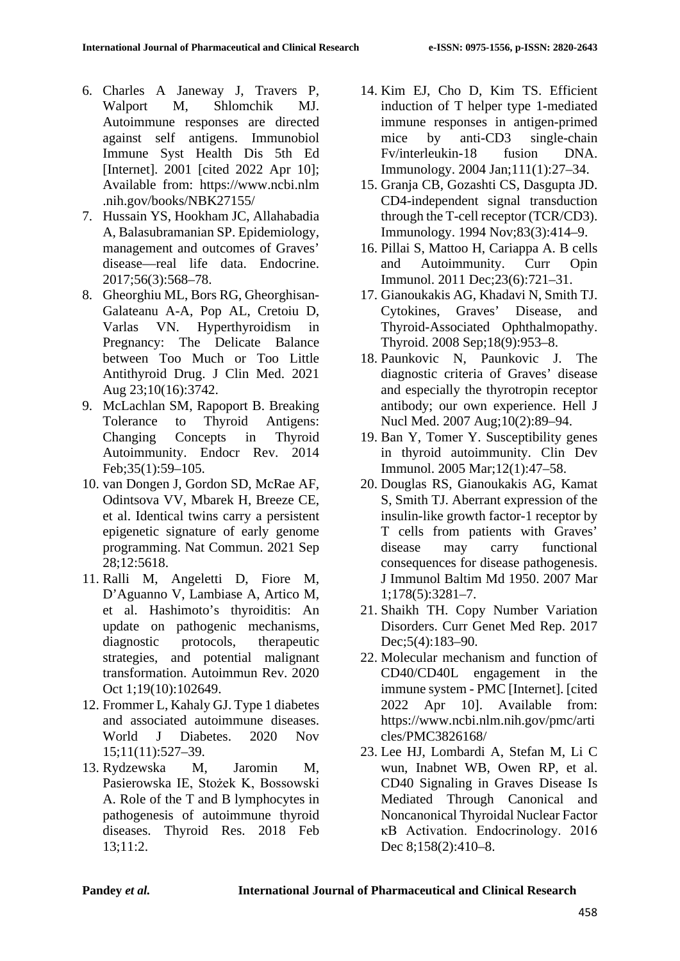- 6. Charles A Janeway J, Travers P, Walport M, Shlomchik MJ. Autoimmune responses are directed against self antigens. Immunobiol Immune Syst Health Dis 5th Ed [Internet]. 2001 [cited 2022 Apr 10]; Available from: https://www.ncbi.nlm .nih.gov/books/NBK27155/
- 7. Hussain YS, Hookham JC, Allahabadia A, Balasubramanian SP. Epidemiology, management and outcomes of Graves' disease—real life data. Endocrine. 2017;56(3):568–78.
- 8. Gheorghiu ML, Bors RG, Gheorghisan-Galateanu A-A, Pop AL, Cretoiu D, Varlas VN. Hyperthyroidism in Pregnancy: The Delicate Balance between Too Much or Too Little Antithyroid Drug. J Clin Med. 2021 Aug 23;10(16):3742.
- 9. McLachlan SM, Rapoport B. Breaking Tolerance to Thyroid Antigens: Changing Concepts in Thyroid Autoimmunity. Endocr Rev. 2014 Feb;35(1):59–105.
- 10. van Dongen J, Gordon SD, McRae AF, Odintsova VV, Mbarek H, Breeze CE, et al. Identical twins carry a persistent epigenetic signature of early genome programming. Nat Commun. 2021 Sep 28;12:5618.
- 11. Ralli M, Angeletti D, Fiore M, D'Aguanno V, Lambiase A, Artico M, et al. Hashimoto's thyroiditis: An update on pathogenic mechanisms, diagnostic protocols, therapeutic strategies, and potential malignant transformation. Autoimmun Rev. 2020 Oct 1;19(10):102649.
- 12. Frommer L, Kahaly GJ. Type 1 diabetes and associated autoimmune diseases. World J Diabetes. 2020 Nov 15;11(11):527–39.
- 13. Rydzewska M, Jaromin M, Pasierowska IE, Stożek K, Bossowski A. Role of the T and B lymphocytes in pathogenesis of autoimmune thyroid diseases. Thyroid Res. 2018 Feb 13;11:2.
- 14. Kim EJ, Cho D, Kim TS. Efficient induction of T helper type 1-mediated immune responses in antigen-primed mice by anti-CD3 single-chain Fv/interleukin-18 fusion DNA. Immunology. 2004 Jan;111(1):27–34.
- 15. Granja CB, Gozashti CS, Dasgupta JD. CD4-independent signal transduction through the T-cell receptor (TCR/CD3). Immunology. 1994 Nov;83(3):414–9.
- 16. Pillai S, Mattoo H, Cariappa A. B cells and Autoimmunity. Curr Opin Immunol. 2011 Dec;23(6):721–31.
- 17. Gianoukakis AG, Khadavi N, Smith TJ. Cytokines, Graves' Disease, and Thyroid-Associated Ophthalmopathy. Thyroid. 2008 Sep;18(9):953–8.
- 18. Paunkovic N, Paunkovic J. The diagnostic criteria of Graves' disease and especially the thyrotropin receptor antibody; our own experience. Hell J Nucl Med. 2007 Aug;10(2):89–94.
- 19. Ban Y, Tomer Y. Susceptibility genes in thyroid autoimmunity. Clin Dev Immunol. 2005 Mar;12(1):47–58.
- 20. Douglas RS, Gianoukakis AG, Kamat S, Smith TJ. Aberrant expression of the insulin-like growth factor-1 receptor by T cells from patients with Graves' disease may carry functional consequences for disease pathogenesis. J Immunol Baltim Md 1950. 2007 Mar 1;178(5):3281–7.
- 21. Shaikh TH. Copy Number Variation Disorders. Curr Genet Med Rep. 2017 Dec; 5(4): 183–90.
- 22. Molecular mechanism and function of CD40/CD40L engagement in the immune system - PMC [Internet]. [cited 2022 Apr 10]. Available from: https://www.ncbi.nlm.nih.gov/pmc/arti cles/PMC3826168/
- 23. Lee HJ, Lombardi A, Stefan M, Li C wun, Inabnet WB, Owen RP, et al. CD40 Signaling in Graves Disease Is Mediated Through Canonical and Noncanonical Thyroidal Nuclear Factor κB Activation. Endocrinology. 2016 Dec 8;158(2):410–8.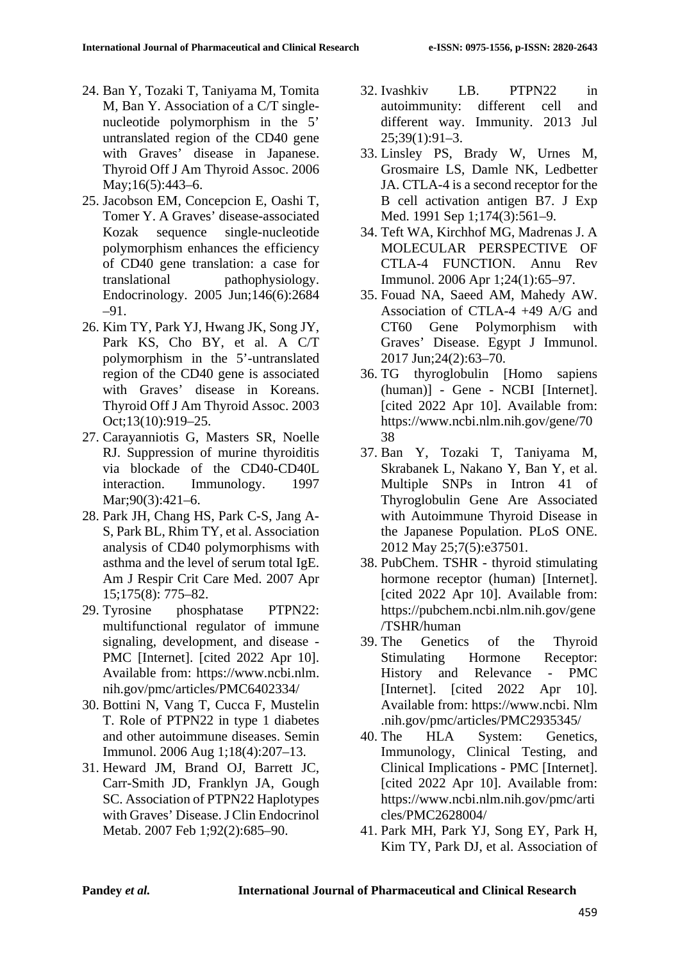- 24. Ban Y, Tozaki T, Taniyama M, Tomita M, Ban Y. Association of a C/T singlenucleotide polymorphism in the 5' untranslated region of the CD40 gene with Graves' disease in Japanese. Thyroid Off J Am Thyroid Assoc. 2006 May:16(5):443–6.
- 25. Jacobson EM, Concepcion E, Oashi T, Tomer Y. A Graves' disease-associated Kozak sequence single-nucleotide polymorphism enhances the efficiency of CD40 gene translation: a case for translational pathophysiology. Endocrinology. 2005 Jun;146(6):2684 –91.
- 26. Kim TY, Park YJ, Hwang JK, Song JY, Park KS, Cho BY, et al. A C/T polymorphism in the 5'-untranslated region of the CD40 gene is associated with Graves' disease in Koreans. Thyroid Off J Am Thyroid Assoc. 2003 Oct;13(10):919–25.
- 27. Carayanniotis G, Masters SR, Noelle RJ. Suppression of murine thyroiditis via blockade of the CD40-CD40L interaction. Immunology. 1997 Mar;90(3):421–6.
- 28. Park JH, Chang HS, Park C-S, Jang A-S, Park BL, Rhim TY, et al. Association analysis of CD40 polymorphisms with asthma and the level of serum total IgE. Am J Respir Crit Care Med. 2007 Apr 15;175(8): 775–82.
- 29. Tyrosine phosphatase PTPN22: multifunctional regulator of immune signaling, development, and disease - PMC [Internet]. [cited 2022 Apr 10]. Available from: https://www.ncbi.nlm. nih.gov/pmc/articles/PMC6402334/
- 30. Bottini N, Vang T, Cucca F, Mustelin T. Role of PTPN22 in type 1 diabetes and other autoimmune diseases. Semin Immunol. 2006 Aug 1;18(4):207–13.
- 31. Heward JM, Brand OJ, Barrett JC, Carr-Smith JD, Franklyn JA, Gough SC. Association of PTPN22 Haplotypes with Graves' Disease. J Clin Endocrinol Metab. 2007 Feb 1;92(2):685–90.
- 32. Ivashkiv LB. PTPN22 in autoimmunity: different cell and different way. Immunity. 2013 Jul 25;39(1):91–3.
- 33. Linsley PS, Brady W, Urnes M, Grosmaire LS, Damle NK, Ledbetter JA. CTLA-4 is a second receptor for the B cell activation antigen B7. J Exp Med. 1991 Sep 1;174(3):561–9.
- 34. Teft WA, Kirchhof MG, Madrenas J. A MOLECULAR PERSPECTIVE OF CTLA-4 FUNCTION. Annu Rev Immunol. 2006 Apr 1;24(1):65–97.
- 35. Fouad NA, Saeed AM, Mahedy AW. Association of CTLA-4 +49 A/G and CT60 Gene Polymorphism with Graves' Disease. Egypt J Immunol. 2017 Jun;24(2):63–70.
- 36. TG thyroglobulin [Homo sapiens (human)] - Gene - NCBI [Internet]. [cited 2022 Apr 10]. Available from: https://www.ncbi.nlm.nih.gov/gene/70 38
- 37. Ban Y, Tozaki T, Taniyama M, Skrabanek L, Nakano Y, Ban Y, et al. Multiple SNPs in Intron 41 of Thyroglobulin Gene Are Associated with Autoimmune Thyroid Disease in the Japanese Population. PLoS ONE. 2012 May 25;7(5):e37501.
- 38. PubChem. TSHR thyroid stimulating hormone receptor (human) [Internet]. [cited 2022 Apr 10]. Available from: https://pubchem.ncbi.nlm.nih.gov/gene /TSHR/human
- 39. The Genetics of the Thyroid Stimulating Hormone Receptor: History and Relevance - PMC [Internet]. [cited 2022 Apr 10]. Available from: https://www.ncbi. Nlm .nih.gov/pmc/articles/PMC2935345/
- 40. The HLA System: Genetics, Immunology, Clinical Testing, and Clinical Implications - PMC [Internet]. [cited 2022 Apr 10]. Available from: https://www.ncbi.nlm.nih.gov/pmc/arti cles/PMC2628004/
- 41. Park MH, Park YJ, Song EY, Park H, Kim TY, Park DJ, et al. Association of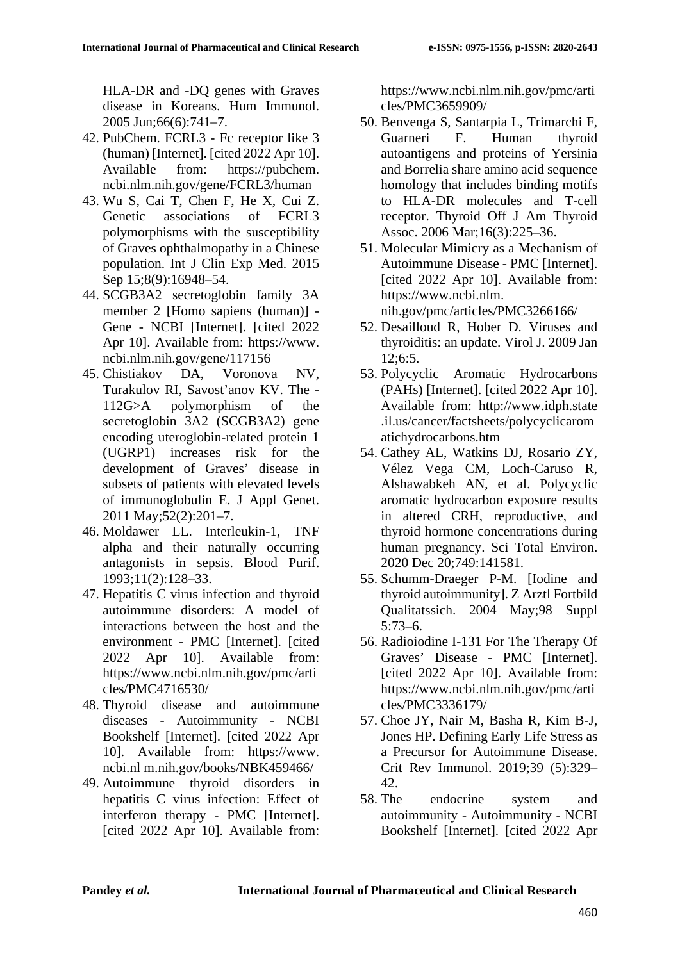HLA-DR and -DQ genes with Graves disease in Koreans. Hum Immunol. 2005 Jun;66(6):741–7.

- 42. PubChem. FCRL3 Fc receptor like 3 (human) [Internet]. [cited 2022 Apr 10]. Available from: https://pubchem. ncbi.nlm.nih.gov/gene/FCRL3/human
- 43. Wu S, Cai T, Chen F, He X, Cui Z. Genetic associations of FCRL3 polymorphisms with the susceptibility of Graves ophthalmopathy in a Chinese population. Int J Clin Exp Med. 2015 Sep 15;8(9):16948-54.
- 44. SCGB3A2 secretoglobin family 3A member 2 [Homo sapiens (human)] - Gene - NCBI [Internet]. [cited 2022 Apr 10]. Available from: https://www. ncbi.nlm.nih.gov/gene/117156
- 45. Chistiakov DA, Voronova NV, Turakulov RI, Savost'anov KV. The - 112G>A polymorphism of the secretoglobin 3A2 (SCGB3A2) gene encoding uteroglobin-related protein 1 (UGRP1) increases risk for the development of Graves' disease in subsets of patients with elevated levels of immunoglobulin E. J Appl Genet. 2011 May;52(2):201–7.
- 46. Moldawer LL. Interleukin-1, TNF alpha and their naturally occurring antagonists in sepsis. Blood Purif. 1993;11(2):128–33.
- 47. Hepatitis C virus infection and thyroid autoimmune disorders: A model of interactions between the host and the environment - PMC [Internet]. [cited 2022 Apr 10]. Available from: https://www.ncbi.nlm.nih.gov/pmc/arti cles/PMC4716530/
- 48. Thyroid disease and autoimmune diseases - Autoimmunity - NCBI Bookshelf [Internet]. [cited 2022 Apr 10]. Available from: https://www. ncbi.nl m.nih.gov/books/NBK459466/
- 49. Autoimmune thyroid disorders in hepatitis C virus infection: Effect of interferon therapy - PMC [Internet]. [cited 2022 Apr 10]. Available from:

https://www.ncbi.nlm.nih.gov/pmc/arti cles/PMC3659909/

- 50. Benvenga S, Santarpia L, Trimarchi F, Guarneri F. Human thyroid autoantigens and proteins of Yersinia and Borrelia share amino acid sequence homology that includes binding motifs to HLA-DR molecules and T-cell receptor. Thyroid Off J Am Thyroid Assoc. 2006 Mar;16(3):225–36.
- 51. Molecular Mimicry as a Mechanism of Autoimmune Disease - PMC [Internet]. [cited 2022 Apr 10]. Available from: https://www.ncbi.nlm. nih.gov/pmc/articles/PMC3266166/
- 52. Desailloud R, Hober D. Viruses and thyroiditis: an update. Virol J. 2009 Jan  $12:6:5$ .
- 53. Polycyclic Aromatic Hydrocarbons (PAHs) [Internet]. [cited 2022 Apr 10]. Available from: http://www.idph.state .il.us/cancer/factsheets/polycyclicarom atichydrocarbons.htm
- 54. Cathey AL, Watkins DJ, Rosario ZY, Vélez Vega CM, Loch-Caruso R, Alshawabkeh AN, et al. Polycyclic aromatic hydrocarbon exposure results in altered CRH, reproductive, and thyroid hormone concentrations during human pregnancy. Sci Total Environ. 2020 Dec 20;749:141581.
- 55. Schumm-Draeger P-M. [Iodine and thyroid autoimmunity]. Z Arztl Fortbild Qualitatssich. 2004 May;98 Suppl 5:73–6.
- 56. Radioiodine I-131 For The Therapy Of Graves' Disease - PMC [Internet]. [cited 2022 Apr 10]. Available from: https://www.ncbi.nlm.nih.gov/pmc/arti cles/PMC3336179/
- 57. Choe JY, Nair M, Basha R, Kim B-J, Jones HP. Defining Early Life Stress as a Precursor for Autoimmune Disease. Crit Rev Immunol. 2019;39 (5):329– 42.
- 58. The endocrine system and autoimmunity - Autoimmunity - NCBI Bookshelf [Internet]. [cited 2022 Apr